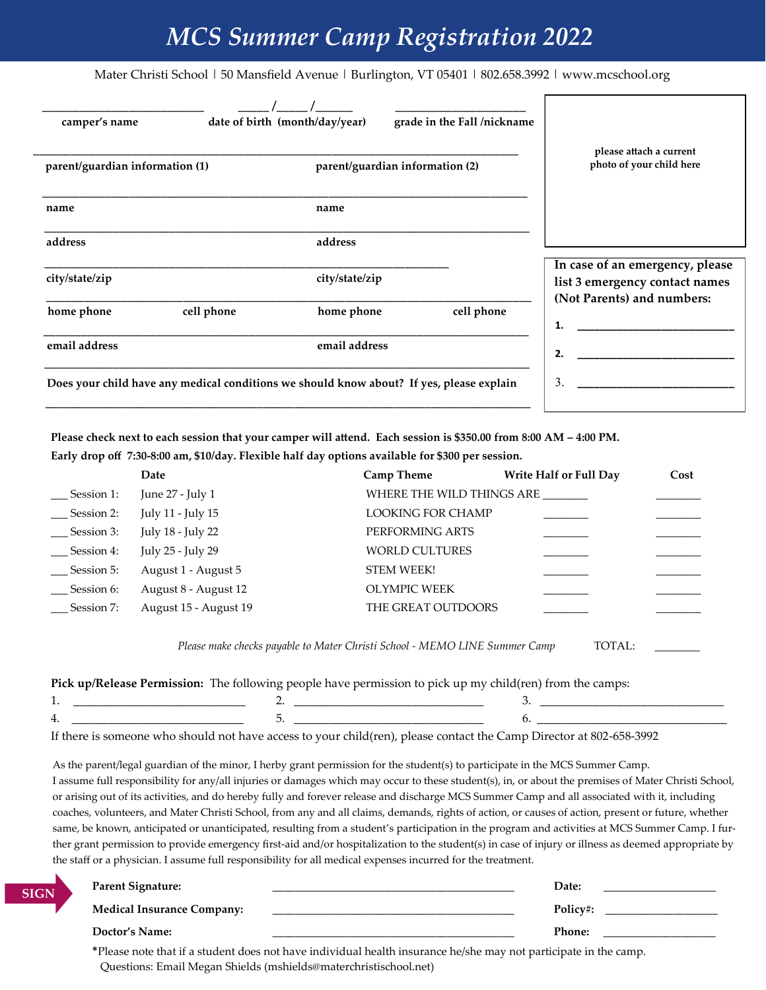# *MCS Summer Camp Registration 2022*

Mater Christi School | 50 Mansfield Avenue | Burlington, VT 05401 | 802.658.3992 | www.mcschool.org

| camper's name<br>parent/guardian information (1) | grade in the Fall /nickname<br>date of birth (month/day/year)<br>parent/guardian information (2) | please attach a current<br>photo of your child here               |  |
|--------------------------------------------------|--------------------------------------------------------------------------------------------------|-------------------------------------------------------------------|--|
| name                                             | name                                                                                             |                                                                   |  |
| address<br>city/state/zip                        | address<br>city/state/zip                                                                        | In case of an emergency, please<br>list 3 emergency contact names |  |
| home phone                                       | cell phone<br>cell phone<br>home phone                                                           | (Not Parents) and numbers:<br>1.                                  |  |
| email address                                    | email address                                                                                    | 2.                                                                |  |
|                                                  | Does your child have any medical conditions we should know about? If yes, please explain         | 3.                                                                |  |

**Please check next to each session that your camper will attend. Each session is \$350.00 from 8:00 AM – 4:00 PM.** 

**Early drop off 7:30-8:00 am, \$10/day. Flexible half day options available for \$300 per session.** 

**SIGN**

|                                                                                                           | Date                  | <b>Camp Theme</b>         | <b>Write Half or Full Day</b> | Cost |  |  |
|-----------------------------------------------------------------------------------------------------------|-----------------------|---------------------------|-------------------------------|------|--|--|
| Session 1:                                                                                                | June 27 - July 1      | WHERE THE WILD THINGS ARE |                               |      |  |  |
| Session 2:                                                                                                | July 11 - July 15     | <b>LOOKING FOR CHAMP</b>  |                               |      |  |  |
| Session 3:                                                                                                | July 18 - July 22     | PERFORMING ARTS           |                               |      |  |  |
| Session 4:                                                                                                | July 25 - July 29     | <b>WORLD CULTURES</b>     |                               |      |  |  |
| Session 5:                                                                                                | August 1 - August 5   | <b>STEM WEEK!</b>         |                               |      |  |  |
| Session 6:                                                                                                | August 8 - August 12  | OLYMPIC WEEK              |                               |      |  |  |
| Session 7:                                                                                                | August 15 - August 19 | THE GREAT OUTDOORS        |                               |      |  |  |
| Please make checks payable to Mater Christi School - MEMO LINE Summer Camp<br>TOTAL:                      |                       |                           |                               |      |  |  |
| Pick up/Release Permission: The following people have permission to pick up my child(ren) from the camps: |                       |                           |                               |      |  |  |
|                                                                                                           |                       |                           | 3.                            |      |  |  |
| 4.                                                                                                        | 5.                    |                           | 6.                            |      |  |  |

If there is someone who should not have access to your child(ren), please contact the Camp Director at 802-658-3992

As the parent/legal guardian of the minor, I herby grant permission for the student(s) to participate in the MCS Summer Camp. I assume full responsibility for any/all injuries or damages which may occur to these student(s), in, or about the premises of Mater Christi School, or arising out of its activities, and do hereby fully and forever release and discharge MCS Summer Camp and all associated with it, including coaches, volunteers, and Mater Christi School, from any and all claims, demands, rights of action, or causes of action, present or future, whether same, be known, anticipated or unanticipated, resulting from a student's participation in the program and activities at MCS Summer Camp. I further grant permission to provide emergency first-aid and/or hospitalization to the student(s) in case of injury or illness as deemed appropriate by the staff or a physician. I assume full responsibility for all medical expenses incurred for the treatment.

| <b>Parent Signature:</b>          | Date:         |
|-----------------------------------|---------------|
| <b>Medical Insurance Company:</b> | Policy#:      |
| Doctor's Name:                    | <b>Phone:</b> |

\*Please note that if a student does not have individual health insurance he/she may not participate in the camp. Questions: Email Megan Shields (mshields@materchristischool.net)